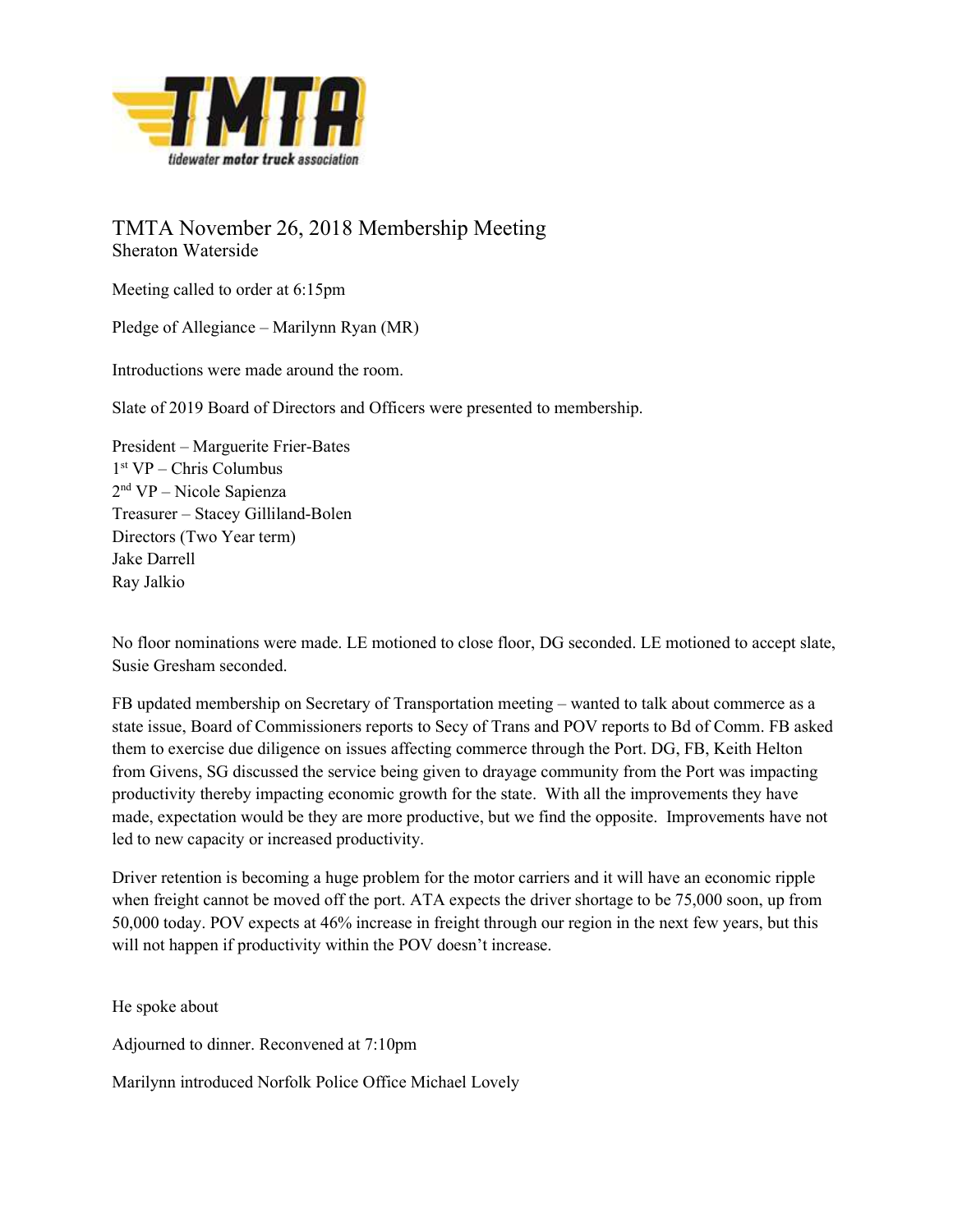

TMTA November 26, 2018 Membership Meeting Sheraton Waterside

Meeting called to order at 6:15pm

Pledge of Allegiance – Marilynn Ryan (MR)

Introductions were made around the room.

Slate of 2019 Board of Directors and Officers were presented to membership.

President – Marguerite Frier-Bates 1 st VP – Chris Columbus 2 nd VP – Nicole Sapienza Treasurer – Stacey Gilliland-Bolen Directors (Two Year term) Jake Darrell Ray Jalkio

No floor nominations were made. LE motioned to close floor, DG seconded. LE motioned to accept slate, Susie Gresham seconded.

FB updated membership on Secretary of Transportation meeting – wanted to talk about commerce as a state issue, Board of Commissioners reports to Secy of Trans and POV reports to Bd of Comm. FB asked them to exercise due diligence on issues affecting commerce through the Port. DG, FB, Keith Helton from Givens, SG discussed the service being given to drayage community from the Port was impacting productivity thereby impacting economic growth for the state. With all the improvements they have made, expectation would be they are more productive, but we find the opposite. Improvements have not led to new capacity or increased productivity.

Driver retention is becoming a huge problem for the motor carriers and it will have an economic ripple when freight cannot be moved off the port. ATA expects the driver shortage to be 75,000 soon, up from 50,000 today. POV expects at 46% increase in freight through our region in the next few years, but this will not happen if productivity within the POV doesn't increase.

He spoke about

Adjourned to dinner. Reconvened at 7:10pm

Marilynn introduced Norfolk Police Office Michael Lovely